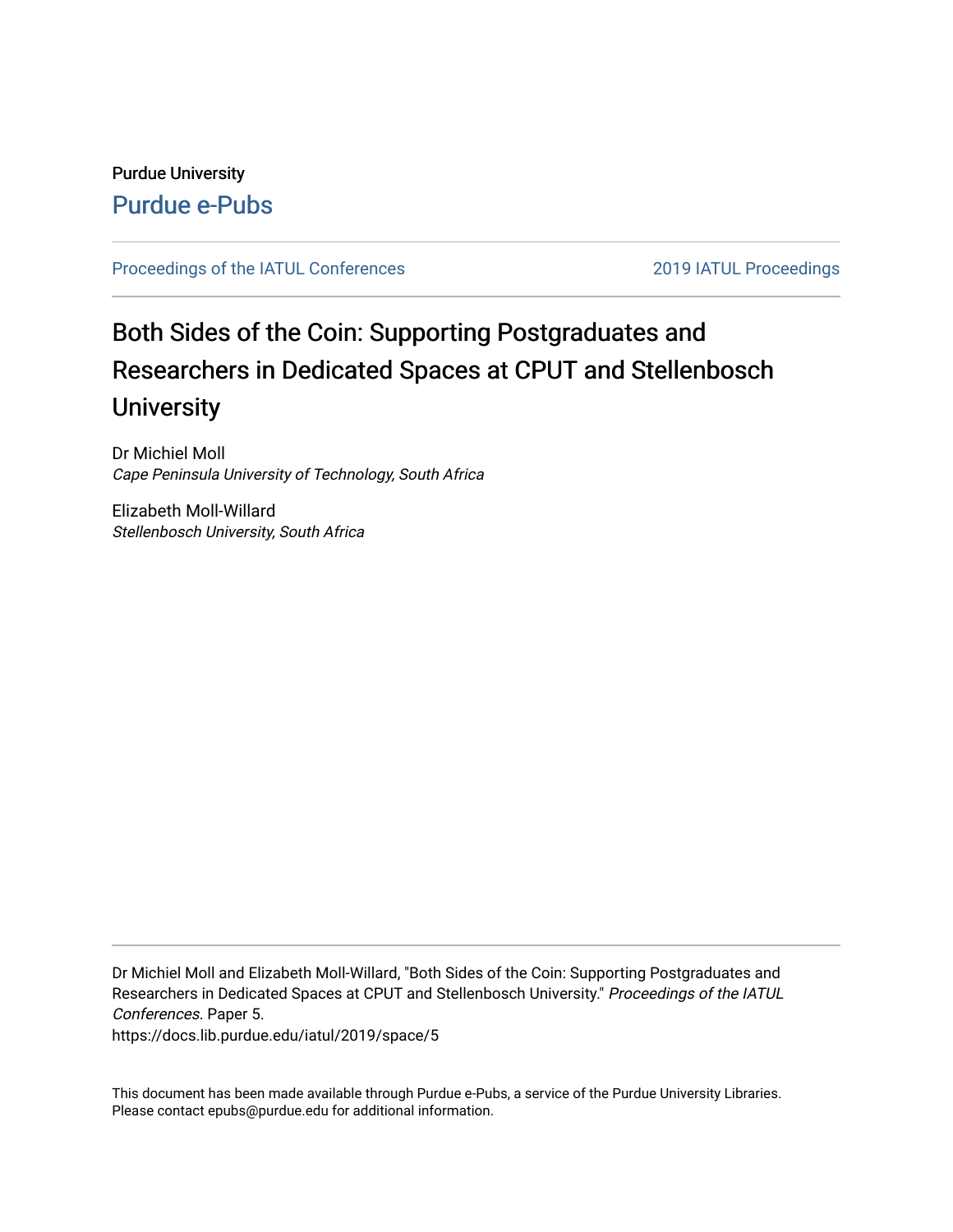## Purdue University [Purdue e-Pubs](https://docs.lib.purdue.edu/)

#### [Proceedings of the IATUL Conferences](https://docs.lib.purdue.edu/iatul) 2019 2019 IATUL Proceedings

# Both Sides of the Coin: Supporting Postgraduates and Researchers in Dedicated Spaces at CPUT and Stellenbosch **University**

Dr Michiel Moll Cape Peninsula University of Technology, South Africa

Elizabeth Moll-Willard Stellenbosch University, South Africa

Dr Michiel Moll and Elizabeth Moll-Willard, "Both Sides of the Coin: Supporting Postgraduates and Researchers in Dedicated Spaces at CPUT and Stellenbosch University." Proceedings of the IATUL Conferences. Paper 5.

https://docs.lib.purdue.edu/iatul/2019/space/5

This document has been made available through Purdue e-Pubs, a service of the Purdue University Libraries. Please contact epubs@purdue.edu for additional information.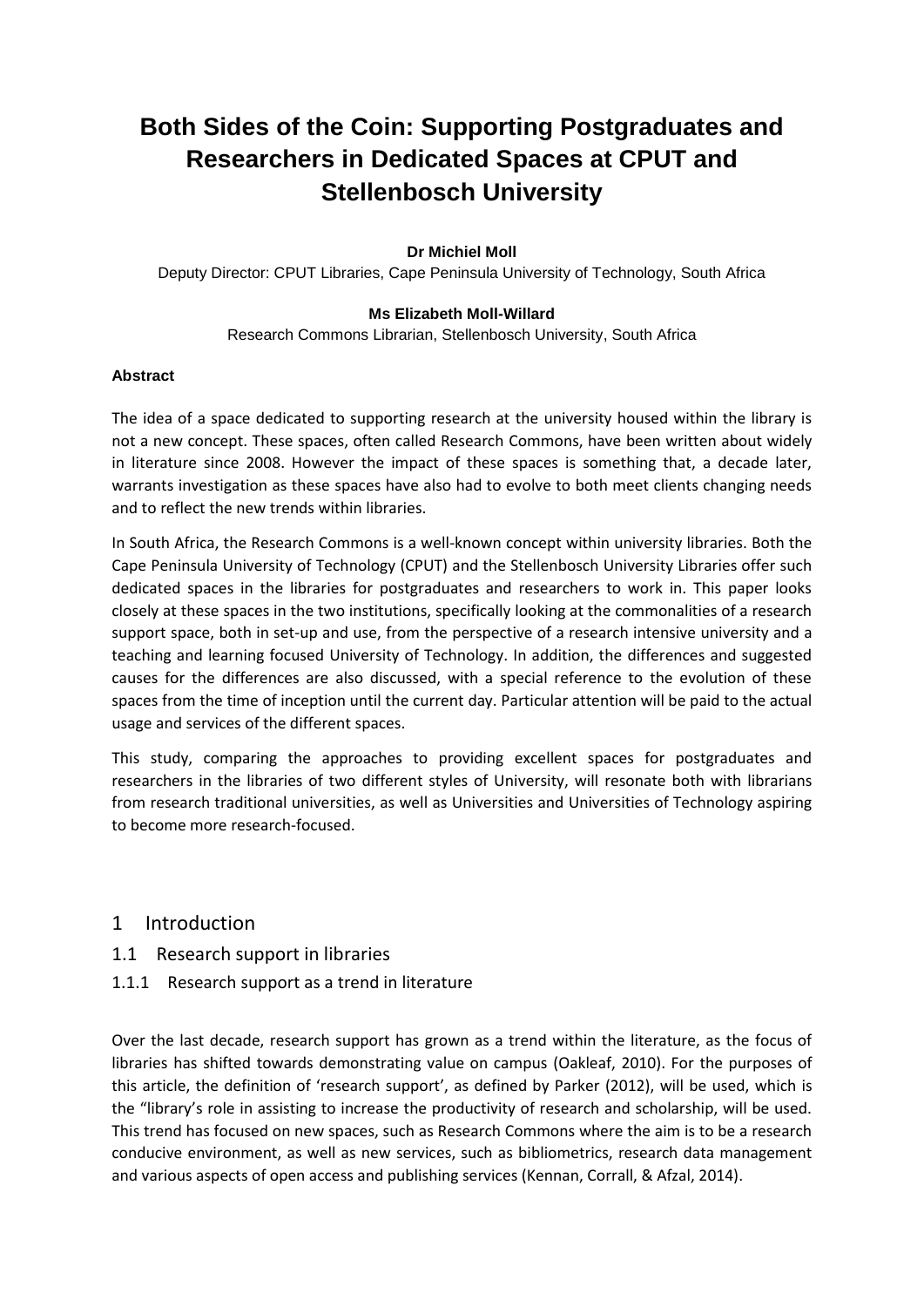## **Both Sides of the Coin: Supporting Postgraduates and Researchers in Dedicated Spaces at CPUT and Stellenbosch University**

#### **Dr Michiel Moll**

Deputy Director: CPUT Libraries, Cape Peninsula University of Technology, South Africa

#### **Ms Elizabeth Moll-Willard**

Research Commons Librarian, Stellenbosch University, South Africa

#### **Abstract**

The idea of a space dedicated to supporting research at the university housed within the library is not a new concept. These spaces, often called Research Commons, have been written about widely in literature since 2008. However the impact of these spaces is something that, a decade later, warrants investigation as these spaces have also had to evolve to both meet clients changing needs and to reflect the new trends within libraries.

In South Africa, the Research Commons is a well-known concept within university libraries. Both the Cape Peninsula University of Technology (CPUT) and the Stellenbosch University Libraries offer such dedicated spaces in the libraries for postgraduates and researchers to work in. This paper looks closely at these spaces in the two institutions, specifically looking at the commonalities of a research support space, both in set-up and use, from the perspective of a research intensive university and a teaching and learning focused University of Technology. In addition, the differences and suggested causes for the differences are also discussed, with a special reference to the evolution of these spaces from the time of inception until the current day. Particular attention will be paid to the actual usage and services of the different spaces.

This study, comparing the approaches to providing excellent spaces for postgraduates and researchers in the libraries of two different styles of University, will resonate both with librarians from research traditional universities, as well as Universities and Universities of Technology aspiring to become more research-focused.

#### 1 Introduction

- 1.1 Research support in libraries
- 1.1.1 Research support as a trend in literature

Over the last decade, research support has grown as a trend within the literature, as the focus of libraries has shifted towards demonstrating value on campus (Oakleaf, 2010). For the purposes of this article, the definition of 'research support', as defined by Parker (2012), will be used, which is the "library's role in assisting to increase the productivity of research and scholarship, will be used. This trend has focused on new spaces, such as Research Commons where the aim is to be a research conducive environment, as well as new services, such as bibliometrics, research data management and various aspects of open access and publishing services (Kennan, Corrall, & Afzal, 2014).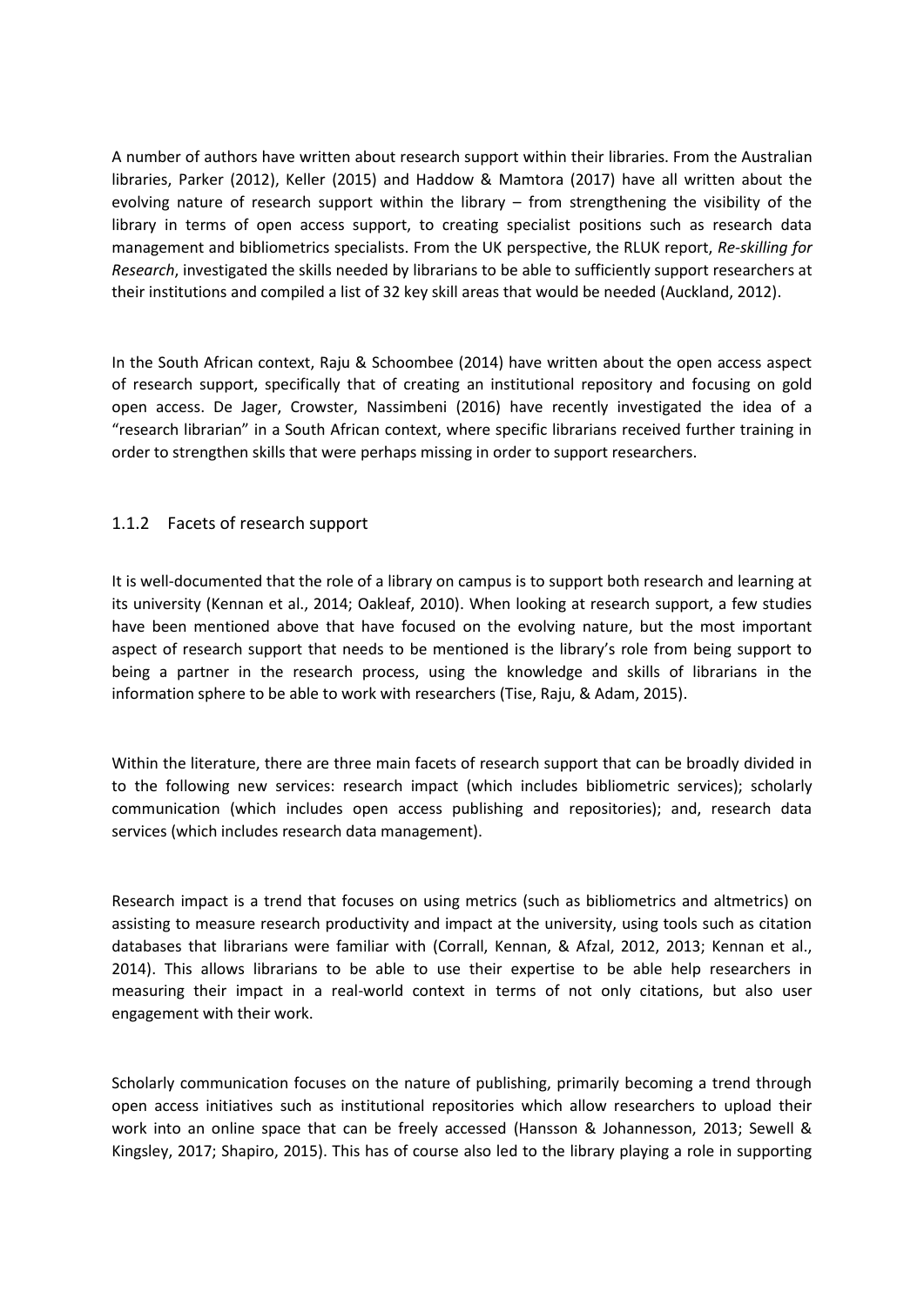A number of authors have written about research support within their libraries. From the Australian libraries, Parker (2012), Keller (2015) and Haddow & Mamtora (2017) have all written about the evolving nature of research support within the library – from strengthening the visibility of the library in terms of open access support, to creating specialist positions such as research data management and bibliometrics specialists. From the UK perspective, the RLUK report, *Re-skilling for Research*, investigated the skills needed by librarians to be able to sufficiently support researchers at their institutions and compiled a list of 32 key skill areas that would be needed (Auckland, 2012).

In the South African context, Raju & Schoombee (2014) have written about the open access aspect of research support, specifically that of creating an institutional repository and focusing on gold open access. De Jager, Crowster, Nassimbeni (2016) have recently investigated the idea of a "research librarian" in a South African context, where specific librarians received further training in order to strengthen skills that were perhaps missing in order to support researchers.

#### 1.1.2 Facets of research support

It is well-documented that the role of a library on campus is to support both research and learning at its university (Kennan et al., 2014; Oakleaf, 2010). When looking at research support, a few studies have been mentioned above that have focused on the evolving nature, but the most important aspect of research support that needs to be mentioned is the library's role from being support to being a partner in the research process, using the knowledge and skills of librarians in the information sphere to be able to work with researchers (Tise, Raju, & Adam, 2015).

Within the literature, there are three main facets of research support that can be broadly divided in to the following new services: research impact (which includes bibliometric services); scholarly communication (which includes open access publishing and repositories); and, research data services (which includes research data management).

Research impact is a trend that focuses on using metrics (such as bibliometrics and altmetrics) on assisting to measure research productivity and impact at the university, using tools such as citation databases that librarians were familiar with (Corrall, Kennan, & Afzal, 2012, 2013; Kennan et al., 2014). This allows librarians to be able to use their expertise to be able help researchers in measuring their impact in a real-world context in terms of not only citations, but also user engagement with their work.

Scholarly communication focuses on the nature of publishing, primarily becoming a trend through open access initiatives such as institutional repositories which allow researchers to upload their work into an online space that can be freely accessed (Hansson & Johannesson, 2013; Sewell & Kingsley, 2017; Shapiro, 2015). This has of course also led to the library playing a role in supporting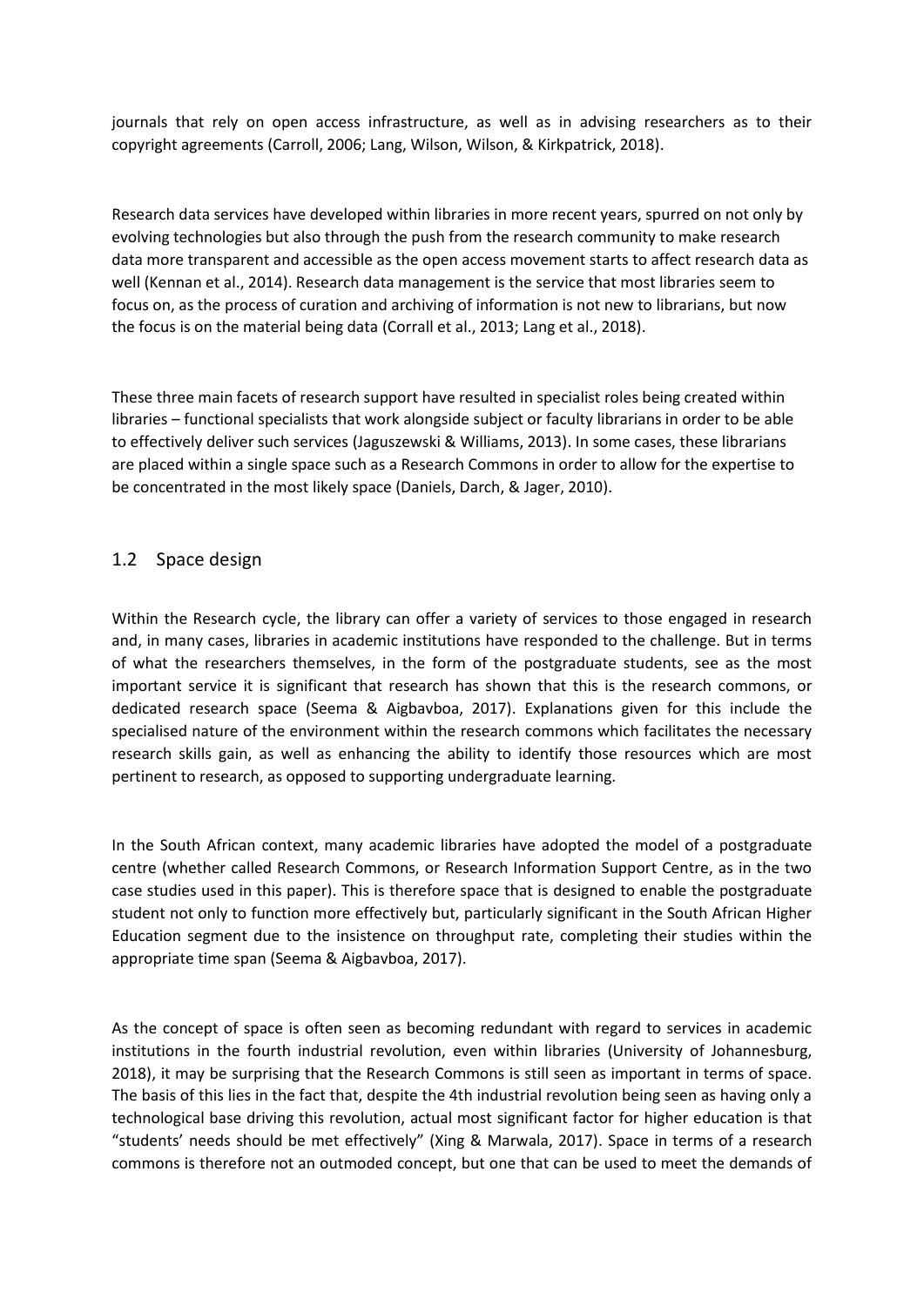journals that rely on open access infrastructure, as well as in advising researchers as to their copyright agreements (Carroll, 2006; Lang, Wilson, Wilson, & Kirkpatrick, 2018).

Research data services have developed within libraries in more recent years, spurred on not only by evolving technologies but also through the push from the research community to make research data more transparent and accessible as the open access movement starts to affect research data as well (Kennan et al., 2014). Research data management is the service that most libraries seem to focus on, as the process of curation and archiving of information is not new to librarians, but now the focus is on the material being data (Corrall et al., 2013; Lang et al., 2018).

These three main facets of research support have resulted in specialist roles being created within libraries – functional specialists that work alongside subject or faculty librarians in order to be able to effectively deliver such services (Jaguszewski & Williams, 2013). In some cases, these librarians are placed within a single space such as a Research Commons in order to allow for the expertise to be concentrated in the most likely space (Daniels, Darch, & Jager, 2010).

#### 1.2 Space design

Within the Research cycle, the library can offer a variety of services to those engaged in research and, in many cases, libraries in academic institutions have responded to the challenge. But in terms of what the researchers themselves, in the form of the postgraduate students, see as the most important service it is significant that research has shown that this is the research commons, or dedicated research space (Seema & Aigbavboa, 2017). Explanations given for this include the specialised nature of the environment within the research commons which facilitates the necessary research skills gain, as well as enhancing the ability to identify those resources which are most pertinent to research, as opposed to supporting undergraduate learning.

In the South African context, many academic libraries have adopted the model of a postgraduate centre (whether called Research Commons, or Research Information Support Centre, as in the two case studies used in this paper). This is therefore space that is designed to enable the postgraduate student not only to function more effectively but, particularly significant in the South African Higher Education segment due to the insistence on throughput rate, completing their studies within the appropriate time span (Seema & Aigbavboa, 2017).

As the concept of space is often seen as becoming redundant with regard to services in academic institutions in the fourth industrial revolution, even within libraries (University of Johannesburg, 2018), it may be surprising that the Research Commons is still seen as important in terms of space. The basis of this lies in the fact that, despite the 4th industrial revolution being seen as having only a technological base driving this revolution, actual most significant factor for higher education is that "students' needs should be met effectively" (Xing & Marwala, 2017). Space in terms of a research commons is therefore not an outmoded concept, but one that can be used to meet the demands of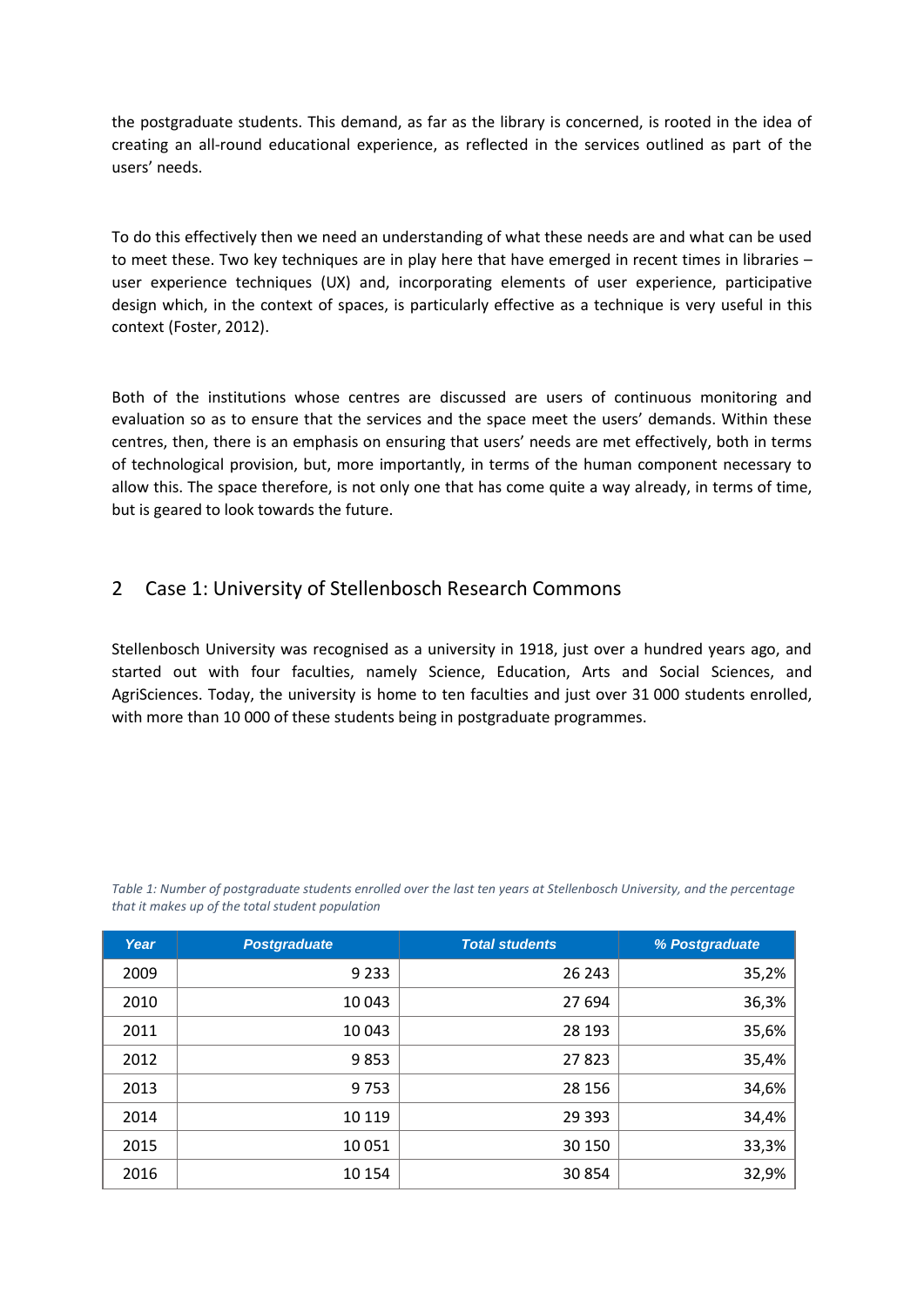the postgraduate students. This demand, as far as the library is concerned, is rooted in the idea of creating an all-round educational experience, as reflected in the services outlined as part of the users' needs.

To do this effectively then we need an understanding of what these needs are and what can be used to meet these. Two key techniques are in play here that have emerged in recent times in libraries – user experience techniques (UX) and, incorporating elements of user experience, participative design which, in the context of spaces, is particularly effective as a technique is very useful in this context (Foster, 2012).

Both of the institutions whose centres are discussed are users of continuous monitoring and evaluation so as to ensure that the services and the space meet the users' demands. Within these centres, then, there is an emphasis on ensuring that users' needs are met effectively, both in terms of technological provision, but, more importantly, in terms of the human component necessary to allow this. The space therefore, is not only one that has come quite a way already, in terms of time, but is geared to look towards the future.

## 2 Case 1: University of Stellenbosch Research Commons

Stellenbosch University was recognised as a university in 1918, just over a hundred years ago, and started out with four faculties, namely Science, Education, Arts and Social Sciences, and AgriSciences. Today, the university is home to ten faculties and just over 31 000 students enrolled, with more than 10 000 of these students being in postgraduate programmes.

*Table 1: Number of postgraduate students enrolled over the last ten years at Stellenbosch University, and the percentage that it makes up of the total student population*

| Year | <b>Postgraduate</b> | <b>Total students</b> | % Postgraduate |
|------|---------------------|-----------------------|----------------|
| 2009 | 9 2 3 3             | 26 243                | 35,2%          |
| 2010 | 10 043              | 27 694                | 36,3%          |
| 2011 | 10 043              | 28 193                | 35,6%          |
| 2012 | 9853                | 27823                 | 35,4%          |
| 2013 | 9753                | 28 15 6               | 34,6%          |
| 2014 | 10 119              | 29 3 9 3              | 34,4%          |
| 2015 | 10 0 51             | 30 150                | 33,3%          |
| 2016 | 10 154              | 30854                 | 32,9%          |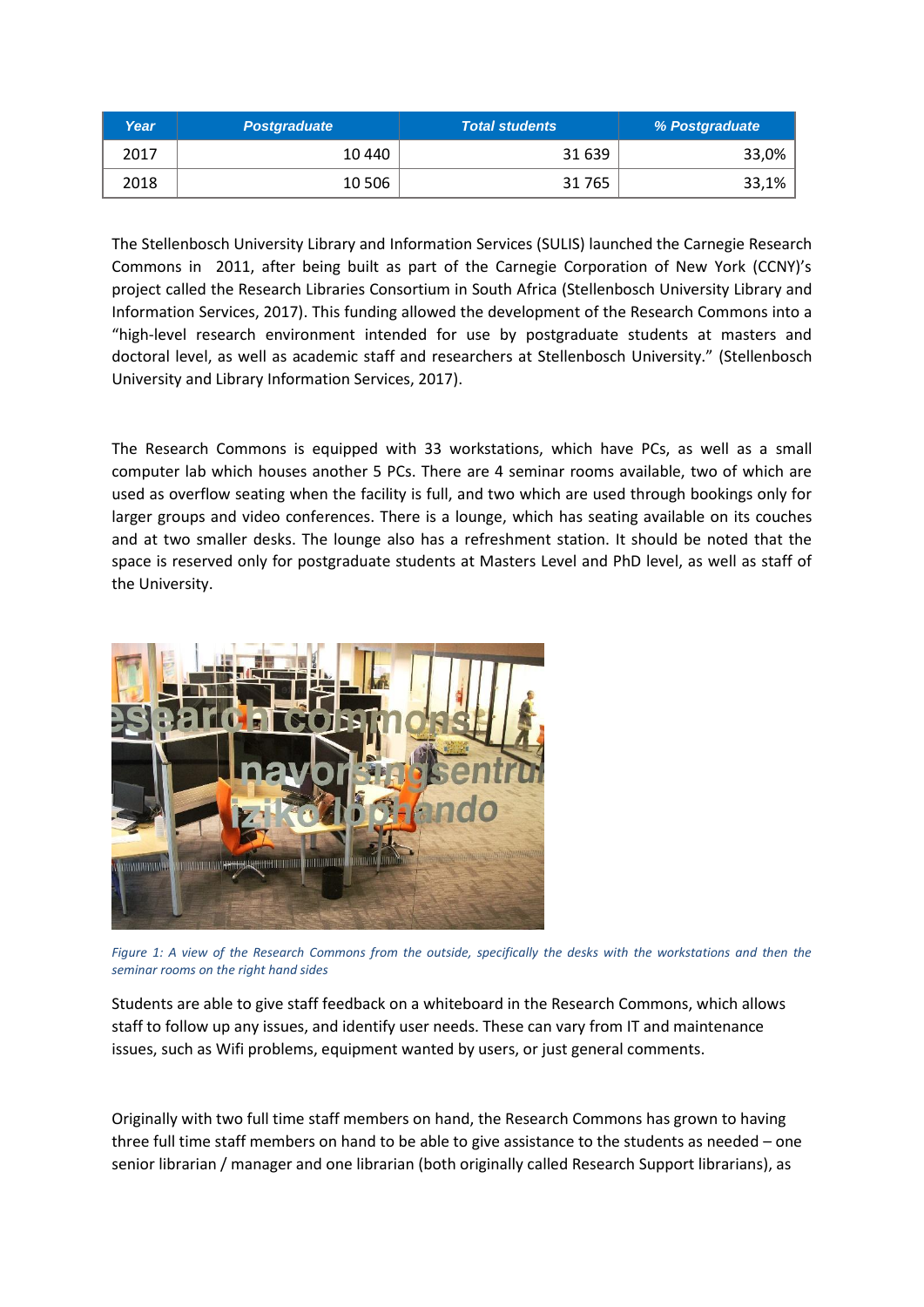| Year | <b>Postgraduate</b> | <b>Total students</b> | <b>% Postgraduate</b> |
|------|---------------------|-----------------------|-----------------------|
| 2017 | 10 440              | 31 639                | 33,0%                 |
| 2018 | 10 506              | 31 7 65               | 33,1%                 |

The Stellenbosch University Library and Information Services (SULIS) launched the Carnegie Research Commons in 2011, after being built as part of the Carnegie Corporation of New York (CCNY)'s project called the Research Libraries Consortium in South Africa (Stellenbosch University Library and Information Services, 2017). This funding allowed the development of the Research Commons into a "high-level research environment intended for use by postgraduate students at masters and doctoral level, as well as academic staff and researchers at Stellenbosch University." (Stellenbosch University and Library Information Services, 2017).

The Research Commons is equipped with 33 workstations, which have PCs, as well as a small computer lab which houses another 5 PCs. There are 4 seminar rooms available, two of which are used as overflow seating when the facility is full, and two which are used through bookings only for larger groups and video conferences. There is a lounge, which has seating available on its couches and at two smaller desks. The lounge also has a refreshment station. It should be noted that the space is reserved only for postgraduate students at Masters Level and PhD level, as well as staff of the University.



*Figure 1: A view of the Research Commons from the outside, specifically the desks with the workstations and then the seminar rooms on the right hand sides*

Students are able to give staff feedback on a whiteboard in the Research Commons, which allows staff to follow up any issues, and identify user needs. These can vary from IT and maintenance issues, such as Wifi problems, equipment wanted by users, or just general comments.

Originally with two full time staff members on hand, the Research Commons has grown to having three full time staff members on hand to be able to give assistance to the students as needed – one senior librarian / manager and one librarian (both originally called Research Support librarians), as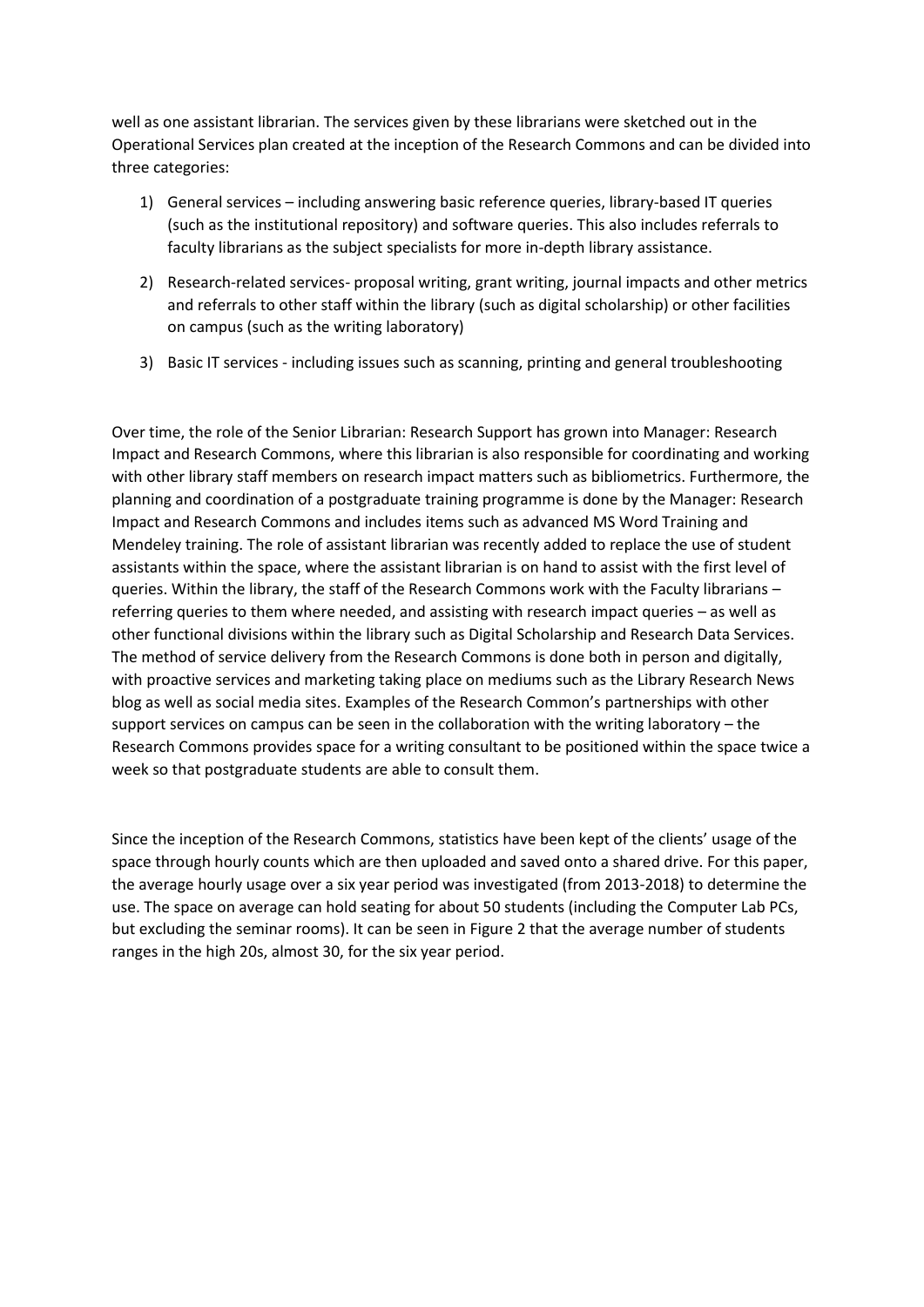well as one assistant librarian. The services given by these librarians were sketched out in the Operational Services plan created at the inception of the Research Commons and can be divided into three categories:

- 1) General services including answering basic reference queries, library-based IT queries (such as the institutional repository) and software queries. This also includes referrals to faculty librarians as the subject specialists for more in-depth library assistance.
- 2) Research-related services- proposal writing, grant writing, journal impacts and other metrics and referrals to other staff within the library (such as digital scholarship) or other facilities on campus (such as the writing laboratory)
- 3) Basic IT services including issues such as scanning, printing and general troubleshooting

Over time, the role of the Senior Librarian: Research Support has grown into Manager: Research Impact and Research Commons, where this librarian is also responsible for coordinating and working with other library staff members on research impact matters such as bibliometrics. Furthermore, the planning and coordination of a postgraduate training programme is done by the Manager: Research Impact and Research Commons and includes items such as advanced MS Word Training and Mendeley training. The role of assistant librarian was recently added to replace the use of student assistants within the space, where the assistant librarian is on hand to assist with the first level of queries. Within the library, the staff of the Research Commons work with the Faculty librarians – referring queries to them where needed, and assisting with research impact queries – as well as other functional divisions within the library such as Digital Scholarship and Research Data Services. The method of service delivery from the Research Commons is done both in person and digitally, with proactive services and marketing taking place on mediums such as the Library Research News blog as well as social media sites. Examples of the Research Common's partnerships with other support services on campus can be seen in the collaboration with the writing laboratory – the Research Commons provides space for a writing consultant to be positioned within the space twice a week so that postgraduate students are able to consult them.

Since the inception of the Research Commons, statistics have been kept of the clients' usage of the space through hourly counts which are then uploaded and saved onto a shared drive. For this paper, the average hourly usage over a six year period was investigated (from 2013-2018) to determine the use. The space on average can hold seating for about 50 students (including the Computer Lab PCs, but excluding the seminar rooms). It can be seen in Figure 2 that the average number of students ranges in the high 20s, almost 30, for the six year period.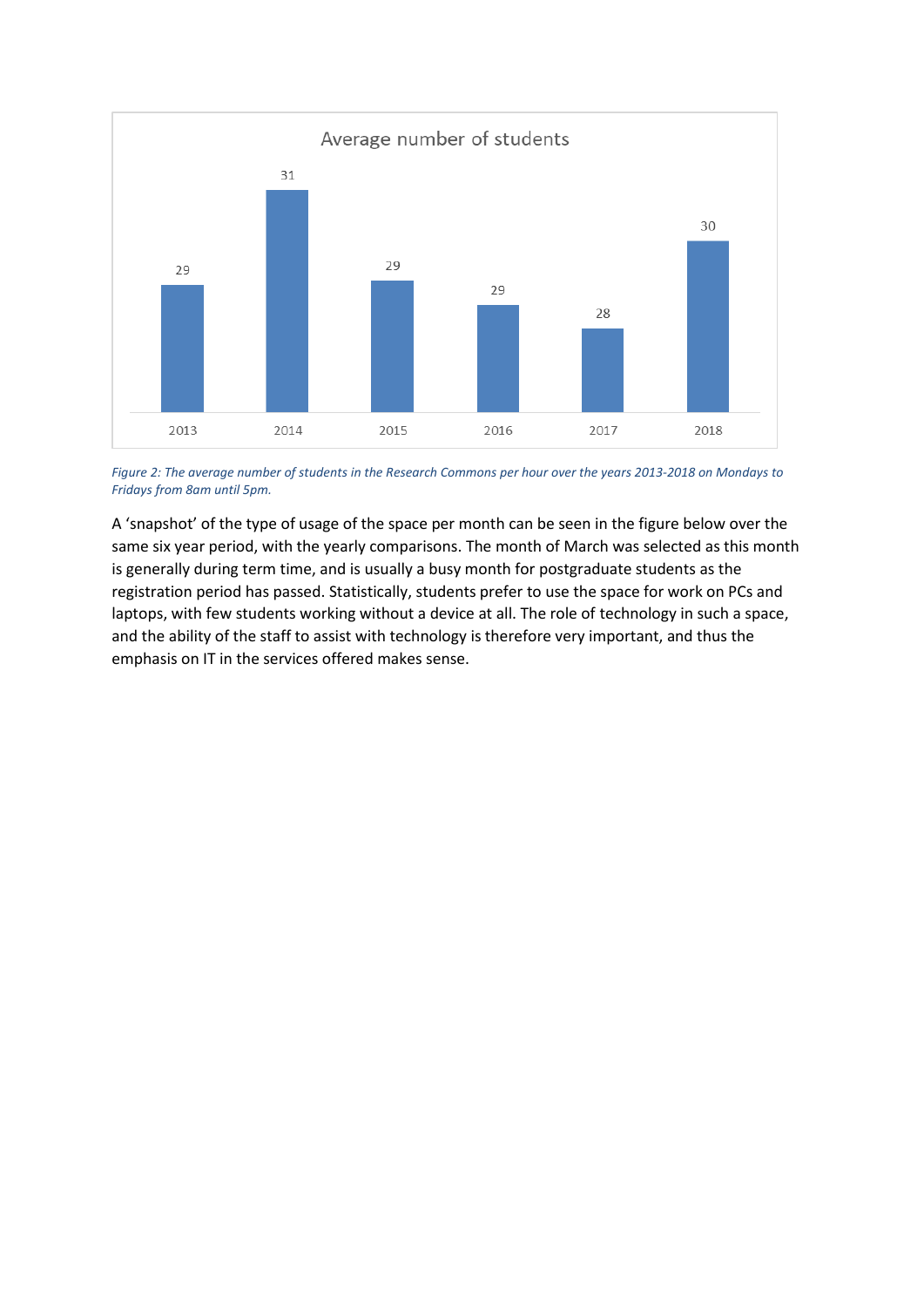

*Figure 2: The average number of students in the Research Commons per hour over the years 2013-2018 on Mondays to Fridays from 8am until 5pm.*

A 'snapshot' of the type of usage of the space per month can be seen in the figure below over the same six year period, with the yearly comparisons. The month of March was selected as this month is generally during term time, and is usually a busy month for postgraduate students as the registration period has passed. Statistically, students prefer to use the space for work on PCs and laptops, with few students working without a device at all. The role of technology in such a space, and the ability of the staff to assist with technology is therefore very important, and thus the emphasis on IT in the services offered makes sense.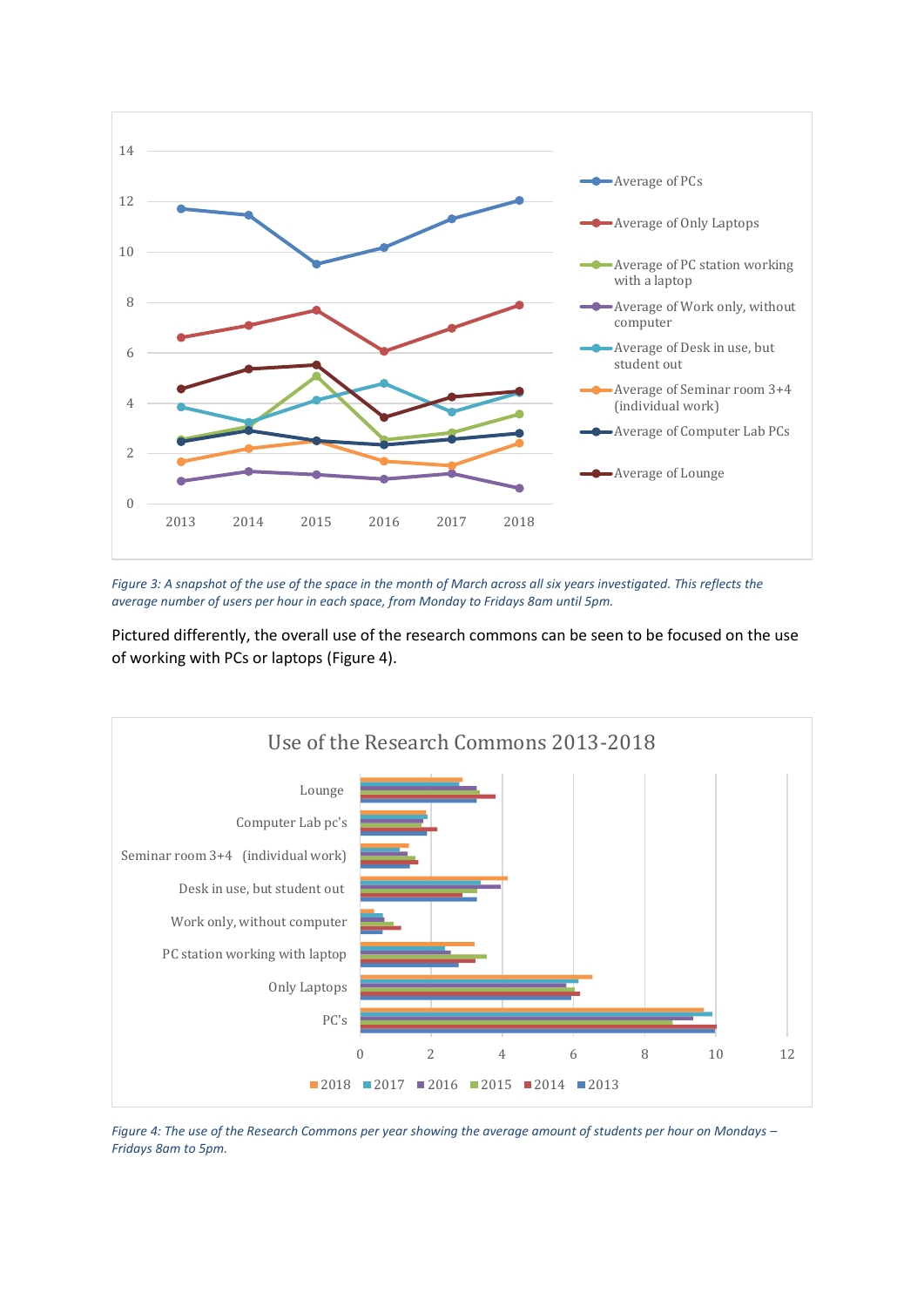

*Figure 3: A snapshot of the use of the space in the month of March across all six years investigated. This reflects the average number of users per hour in each space, from Monday to Fridays 8am until 5pm.*

Pictured differently, the overall use of the research commons can be seen to be focused on the use of working with PCs or laptops (Figure 4).



*Figure 4: The use of the Research Commons per year showing the average amount of students per hour on Mondays – Fridays 8am to 5pm.*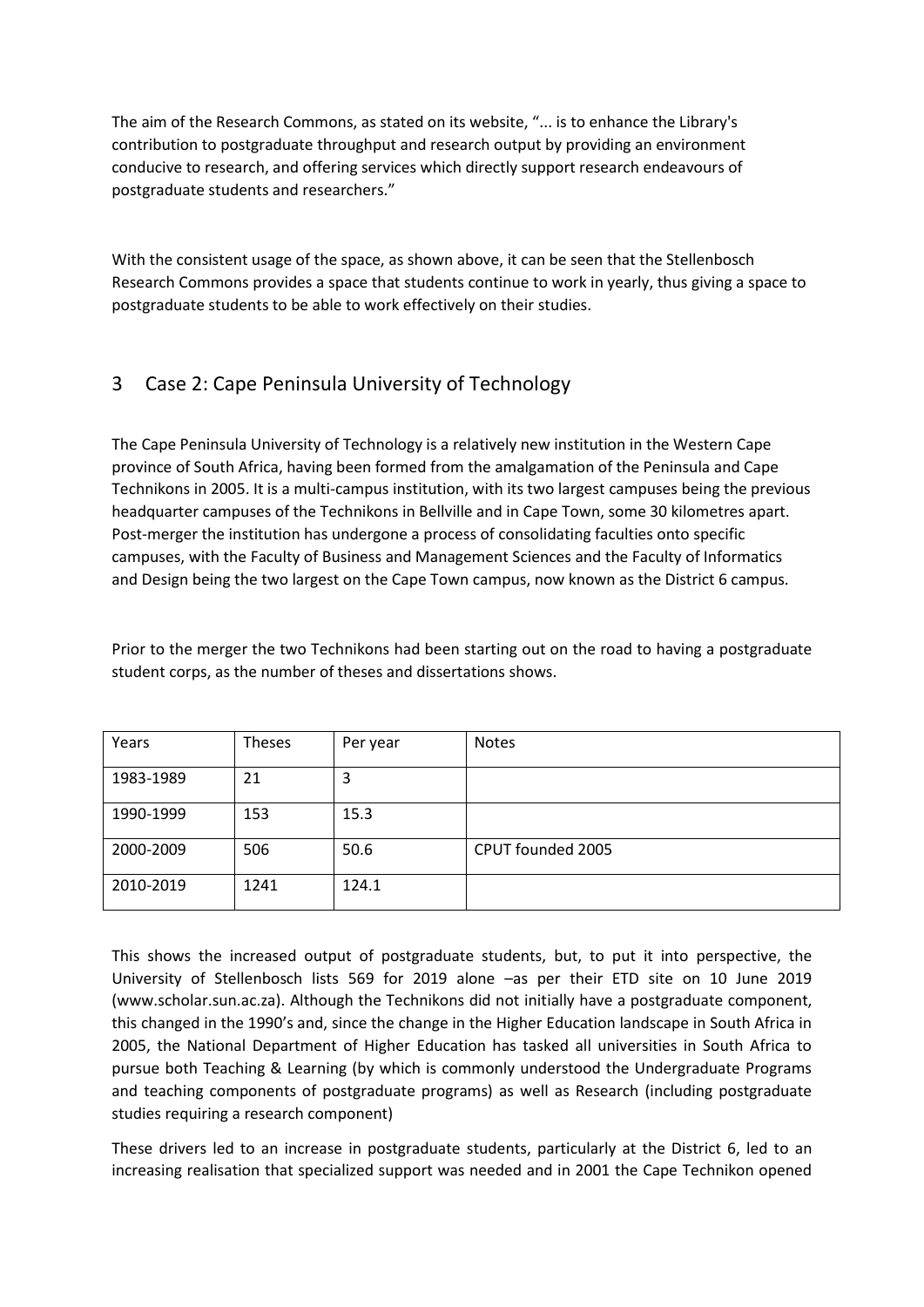The aim of the Research Commons, as stated on its website, "... is to enhance the Library's contribution to postgraduate throughput and research output by providing an environment conducive to research, and offering services which directly support research endeavours of postgraduate students and researchers."

With the consistent usage of the space, as shown above, it can be seen that the Stellenbosch Research Commons provides a space that students continue to work in yearly, thus giving a space to postgraduate students to be able to work effectively on their studies.

## 3 Case 2: Cape Peninsula University of Technology

The Cape Peninsula University of Technology is a relatively new institution in the Western Cape province of South Africa, having been formed from the amalgamation of the Peninsula and Cape Technikons in 2005. It is a multi-campus institution, with its two largest campuses being the previous headquarter campuses of the Technikons in Bellville and in Cape Town, some 30 kilometres apart. Post-merger the institution has undergone a process of consolidating faculties onto specific campuses, with the Faculty of Business and Management Sciences and the Faculty of Informatics and Design being the two largest on the Cape Town campus, now known as the District 6 campus.

Prior to the merger the two Technikons had been starting out on the road to having a postgraduate student corps, as the number of theses and dissertations shows.

| Years     | <b>Theses</b> | Per year | <b>Notes</b>      |
|-----------|---------------|----------|-------------------|
| 1983-1989 | 21            | 3        |                   |
| 1990-1999 | 153           | 15.3     |                   |
| 2000-2009 | 506           | 50.6     | CPUT founded 2005 |
| 2010-2019 | 1241          | 124.1    |                   |

This shows the increased output of postgraduate students, but, to put it into perspective, the University of Stellenbosch lists 569 for 2019 alone –as per their ETD site on 10 June 2019 (www.scholar.sun.ac.za). Although the Technikons did not initially have a postgraduate component, this changed in the 1990's and, since the change in the Higher Education landscape in South Africa in 2005, the National Department of Higher Education has tasked all universities in South Africa to pursue both Teaching & Learning (by which is commonly understood the Undergraduate Programs and teaching components of postgraduate programs) as well as Research (including postgraduate studies requiring a research component)

These drivers led to an increase in postgraduate students, particularly at the District 6, led to an increasing realisation that specialized support was needed and in 2001 the Cape Technikon opened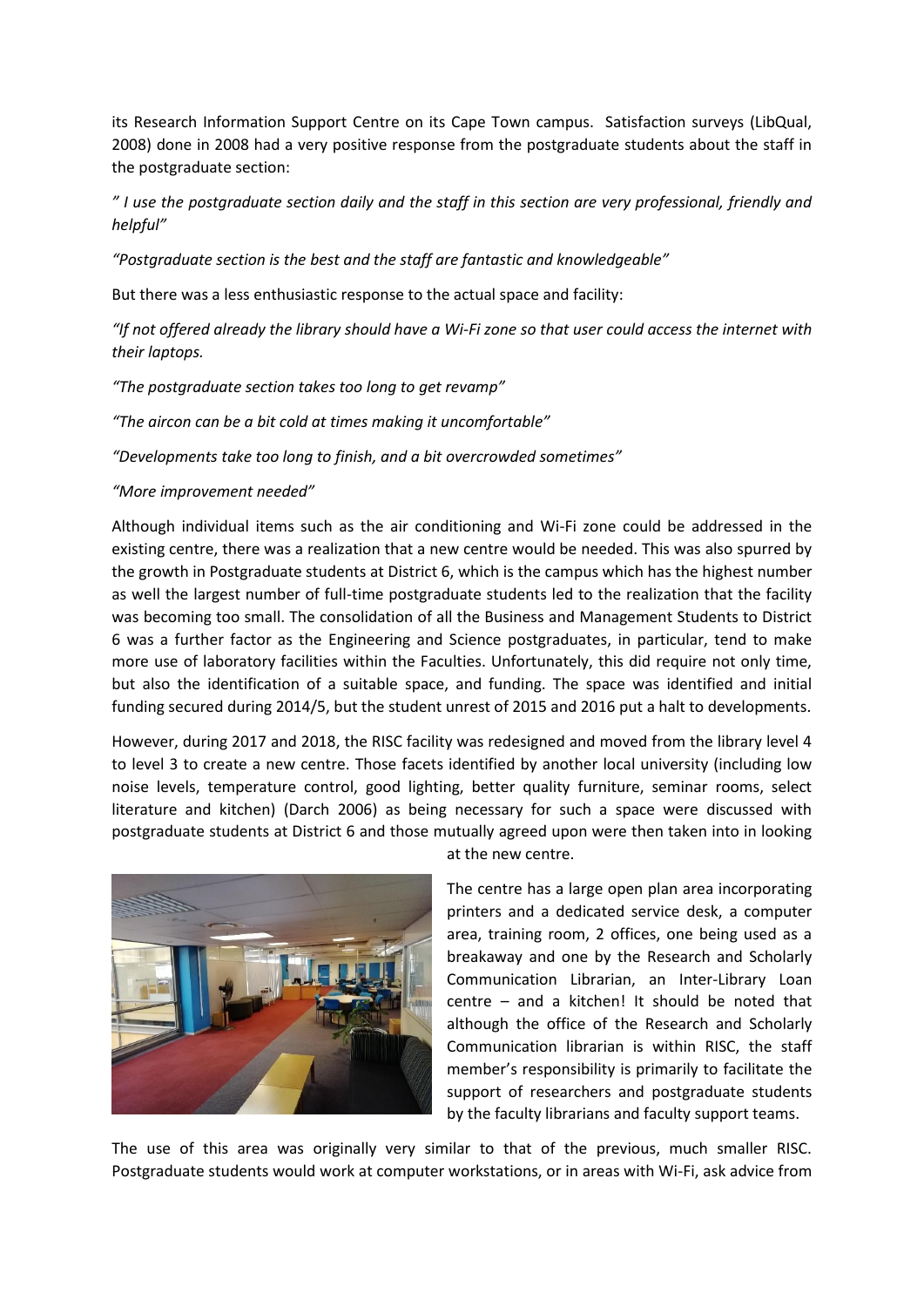its Research Information Support Centre on its Cape Town campus. Satisfaction surveys (LibQual, 2008) done in 2008 had a very positive response from the postgraduate students about the staff in the postgraduate section:

*" I use the postgraduate section daily and the staff in this section are very professional, friendly and helpful"*

*"Postgraduate section is the best and the staff are fantastic and knowledgeable"*

But there was a less enthusiastic response to the actual space and facility:

*"If not offered already the library should have a Wi-Fi zone so that user could access the internet with their laptops.*

*"The postgraduate section takes too long to get revamp"*

*"The aircon can be a bit cold at times making it uncomfortable"*

*"Developments take too long to finish, and a bit overcrowded sometimes"*

#### *"More improvement needed"*

Although individual items such as the air conditioning and Wi-Fi zone could be addressed in the existing centre, there was a realization that a new centre would be needed. This was also spurred by the growth in Postgraduate students at District 6, which is the campus which has the highest number as well the largest number of full-time postgraduate students led to the realization that the facility was becoming too small. The consolidation of all the Business and Management Students to District 6 was a further factor as the Engineering and Science postgraduates, in particular, tend to make more use of laboratory facilities within the Faculties. Unfortunately, this did require not only time, but also the identification of a suitable space, and funding. The space was identified and initial funding secured during 2014/5, but the student unrest of 2015 and 2016 put a halt to developments.

However, during 2017 and 2018, the RISC facility was redesigned and moved from the library level 4 to level 3 to create a new centre. Those facets identified by another local university (including low noise levels, temperature control, good lighting, better quality furniture, seminar rooms, select literature and kitchen) (Darch 2006) as being necessary for such a space were discussed with postgraduate students at District 6 and those mutually agreed upon were then taken into in looking



at the new centre.

The centre has a large open plan area incorporating printers and a dedicated service desk, a computer area, training room, 2 offices, one being used as a breakaway and one by the Research and Scholarly Communication Librarian, an Inter-Library Loan centre – and a kitchen! It should be noted that although the office of the Research and Scholarly Communication librarian is within RISC, the staff member's responsibility is primarily to facilitate the support of researchers and postgraduate students by the faculty librarians and faculty support teams.

The use of this area was originally very similar to that of the previous, much smaller RISC. Postgraduate students would work at computer workstations, or in areas with Wi-Fi, ask advice from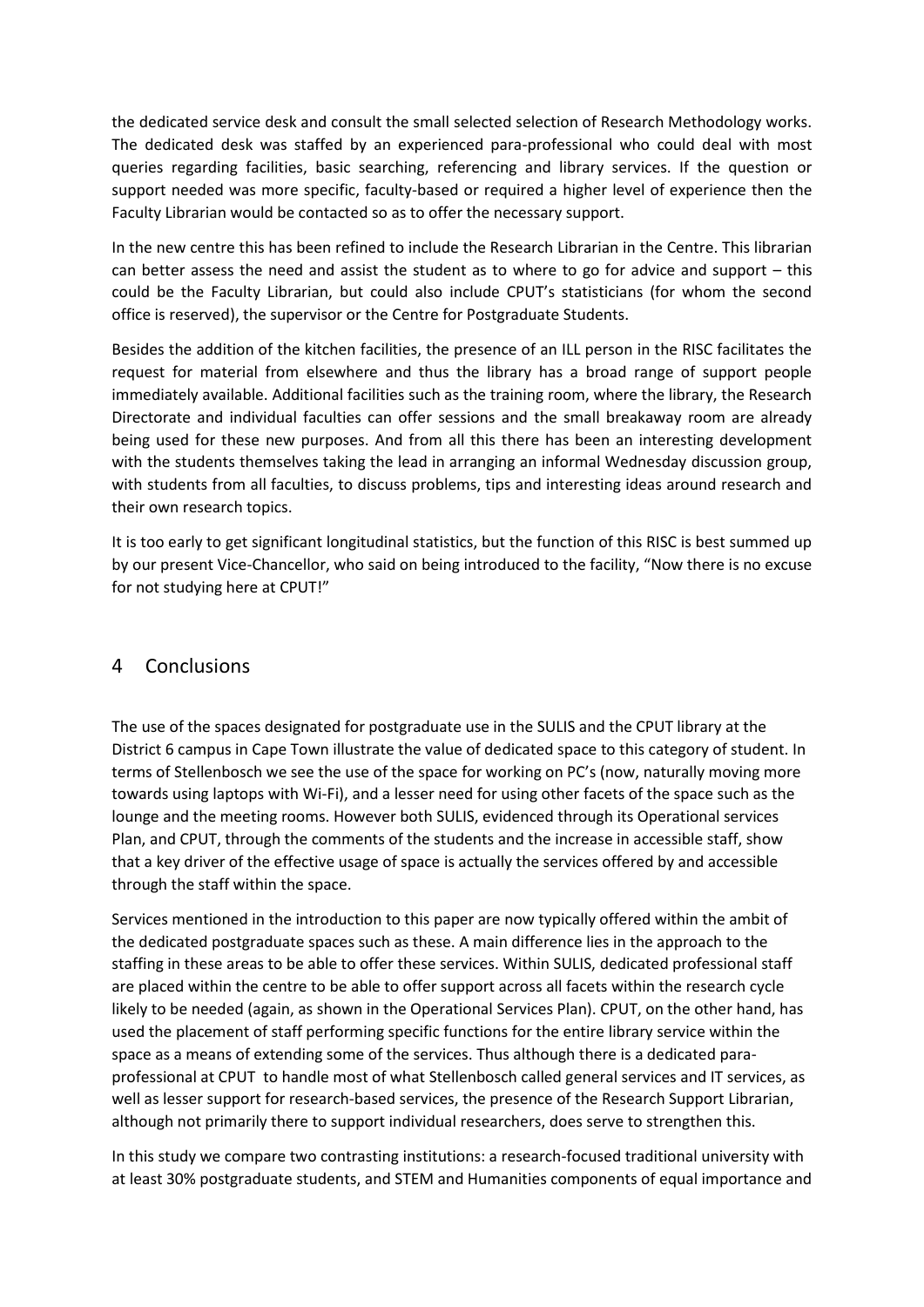the dedicated service desk and consult the small selected selection of Research Methodology works. The dedicated desk was staffed by an experienced para-professional who could deal with most queries regarding facilities, basic searching, referencing and library services. If the question or support needed was more specific, faculty-based or required a higher level of experience then the Faculty Librarian would be contacted so as to offer the necessary support.

In the new centre this has been refined to include the Research Librarian in the Centre. This librarian can better assess the need and assist the student as to where to go for advice and support – this could be the Faculty Librarian, but could also include CPUT's statisticians (for whom the second office is reserved), the supervisor or the Centre for Postgraduate Students.

Besides the addition of the kitchen facilities, the presence of an ILL person in the RISC facilitates the request for material from elsewhere and thus the library has a broad range of support people immediately available. Additional facilities such as the training room, where the library, the Research Directorate and individual faculties can offer sessions and the small breakaway room are already being used for these new purposes. And from all this there has been an interesting development with the students themselves taking the lead in arranging an informal Wednesday discussion group, with students from all faculties, to discuss problems, tips and interesting ideas around research and their own research topics.

It is too early to get significant longitudinal statistics, but the function of this RISC is best summed up by our present Vice-Chancellor, who said on being introduced to the facility, "Now there is no excuse for not studying here at CPUT!"

## 4 Conclusions

The use of the spaces designated for postgraduate use in the SULIS and the CPUT library at the District 6 campus in Cape Town illustrate the value of dedicated space to this category of student. In terms of Stellenbosch we see the use of the space for working on PC's (now, naturally moving more towards using laptops with Wi-Fi), and a lesser need for using other facets of the space such as the lounge and the meeting rooms. However both SULIS, evidenced through its Operational services Plan, and CPUT, through the comments of the students and the increase in accessible staff, show that a key driver of the effective usage of space is actually the services offered by and accessible through the staff within the space.

Services mentioned in the introduction to this paper are now typically offered within the ambit of the dedicated postgraduate spaces such as these. A main difference lies in the approach to the staffing in these areas to be able to offer these services. Within SULIS, dedicated professional staff are placed within the centre to be able to offer support across all facets within the research cycle likely to be needed (again, as shown in the Operational Services Plan). CPUT, on the other hand, has used the placement of staff performing specific functions for the entire library service within the space as a means of extending some of the services. Thus although there is a dedicated paraprofessional at CPUT to handle most of what Stellenbosch called general services and IT services, as well as lesser support for research-based services, the presence of the Research Support Librarian, although not primarily there to support individual researchers, does serve to strengthen this.

In this study we compare two contrasting institutions: a research-focused traditional university with at least 30% postgraduate students, and STEM and Humanities components of equal importance and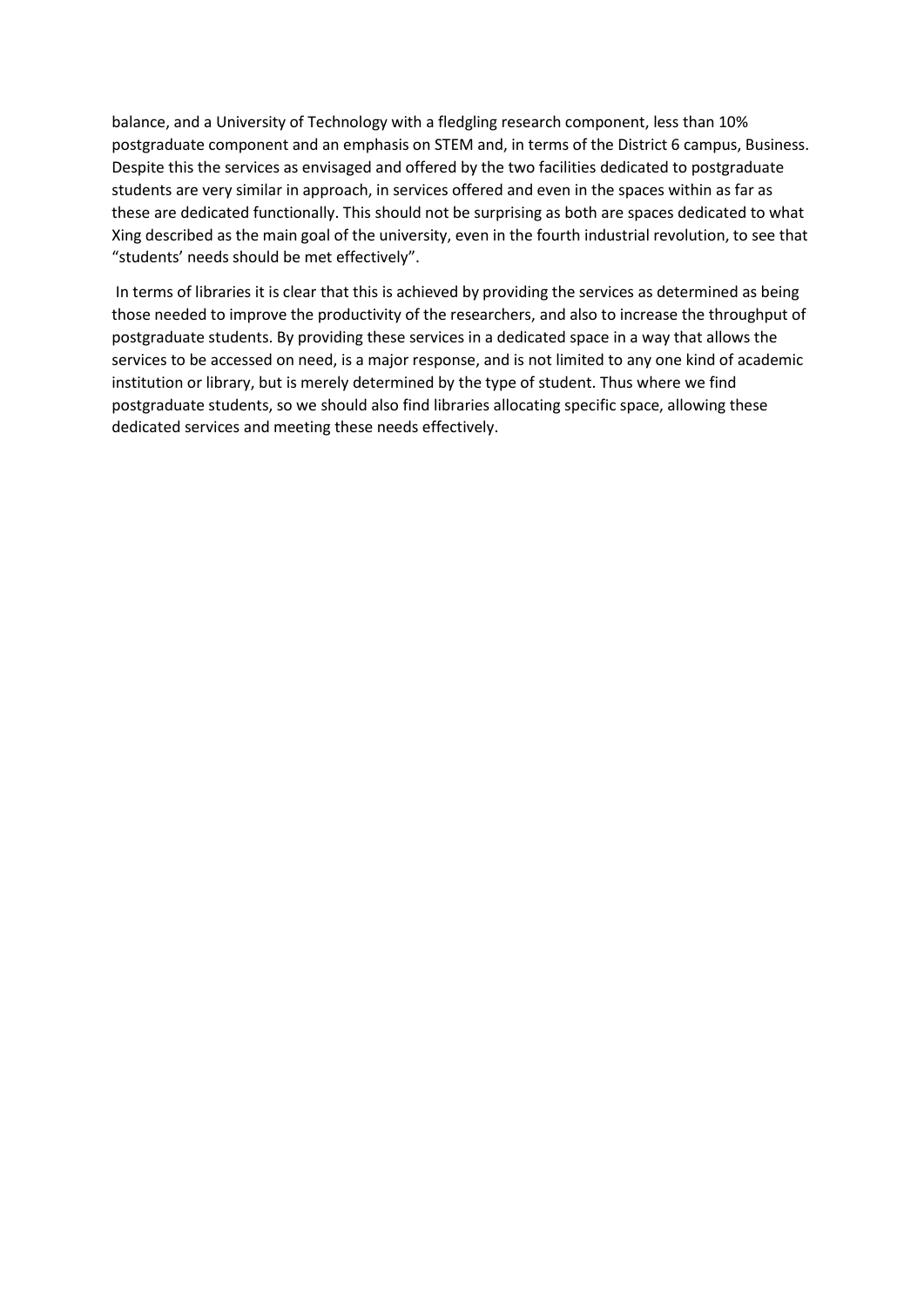balance, and a University of Technology with a fledgling research component, less than 10% postgraduate component and an emphasis on STEM and, in terms of the District 6 campus, Business. Despite this the services as envisaged and offered by the two facilities dedicated to postgraduate students are very similar in approach, in services offered and even in the spaces within as far as these are dedicated functionally. This should not be surprising as both are spaces dedicated to what Xing described as the main goal of the university, even in the fourth industrial revolution, to see that "students' needs should be met effectively".

In terms of libraries it is clear that this is achieved by providing the services as determined as being those needed to improve the productivity of the researchers, and also to increase the throughput of postgraduate students. By providing these services in a dedicated space in a way that allows the services to be accessed on need, is a major response, and is not limited to any one kind of academic institution or library, but is merely determined by the type of student. Thus where we find postgraduate students, so we should also find libraries allocating specific space, allowing these dedicated services and meeting these needs effectively.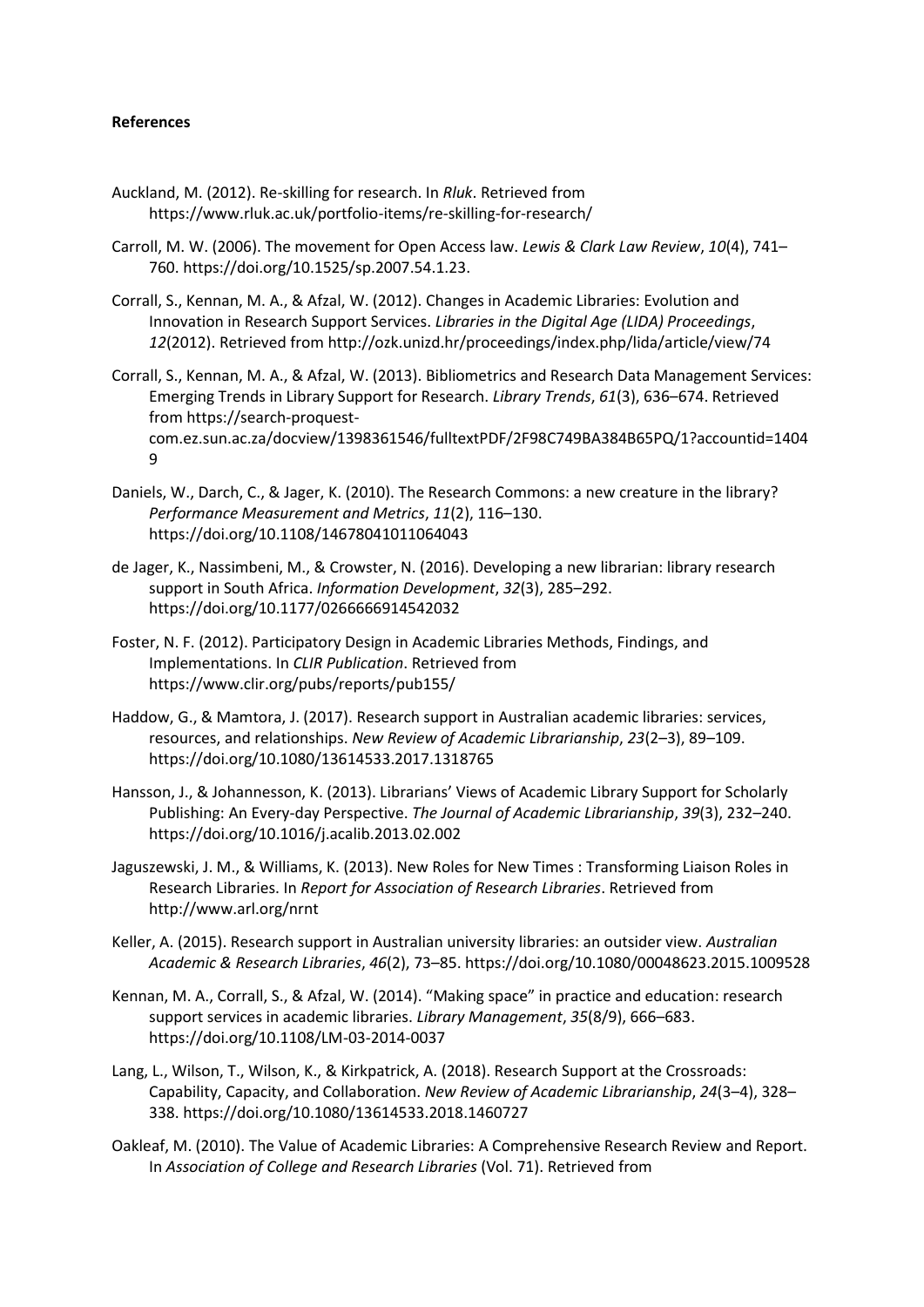#### **References**

- Auckland, M. (2012). Re-skilling for research. In *Rluk*. Retrieved from https://www.rluk.ac.uk/portfolio-items/re-skilling-for-research/
- Carroll, M. W. (2006). The movement for Open Access law. *Lewis & Clark Law Review*, *10*(4), 741– 760. https://doi.org/10.1525/sp.2007.54.1.23.
- Corrall, S., Kennan, M. A., & Afzal, W. (2012). Changes in Academic Libraries: Evolution and Innovation in Research Support Services. *Libraries in the Digital Age (LIDA) Proceedings*, *12*(2012). Retrieved from http://ozk.unizd.hr/proceedings/index.php/lida/article/view/74
- Corrall, S., Kennan, M. A., & Afzal, W. (2013). Bibliometrics and Research Data Management Services: Emerging Trends in Library Support for Research. *Library Trends*, *61*(3), 636–674. Retrieved from https://search-proquestcom.ez.sun.ac.za/docview/1398361546/fulltextPDF/2F98C749BA384B65PQ/1?accountid=1404 9
- Daniels, W., Darch, C., & Jager, K. (2010). The Research Commons: a new creature in the library? *Performance Measurement and Metrics*, *11*(2), 116–130. https://doi.org/10.1108/14678041011064043
- de Jager, K., Nassimbeni, M., & Crowster, N. (2016). Developing a new librarian: library research support in South Africa. *Information Development*, *32*(3), 285–292. https://doi.org/10.1177/0266666914542032
- Foster, N. F. (2012). Participatory Design in Academic Libraries Methods, Findings, and Implementations. In *CLIR Publication*. Retrieved from https://www.clir.org/pubs/reports/pub155/
- Haddow, G., & Mamtora, J. (2017). Research support in Australian academic libraries: services, resources, and relationships. *New Review of Academic Librarianship*, *23*(2–3), 89–109. https://doi.org/10.1080/13614533.2017.1318765
- Hansson, J., & Johannesson, K. (2013). Librarians' Views of Academic Library Support for Scholarly Publishing: An Every-day Perspective. *The Journal of Academic Librarianship*, *39*(3), 232–240. https://doi.org/10.1016/j.acalib.2013.02.002
- Jaguszewski, J. M., & Williams, K. (2013). New Roles for New Times : Transforming Liaison Roles in Research Libraries. In *Report for Association of Research Libraries*. Retrieved from http://www.arl.org/nrnt
- Keller, A. (2015). Research support in Australian university libraries: an outsider view. *Australian Academic & Research Libraries*, *46*(2), 73–85. https://doi.org/10.1080/00048623.2015.1009528
- Kennan, M. A., Corrall, S., & Afzal, W. (2014). "Making space" in practice and education: research support services in academic libraries. *Library Management*, *35*(8/9), 666–683. https://doi.org/10.1108/LM-03-2014-0037
- Lang, L., Wilson, T., Wilson, K., & Kirkpatrick, A. (2018). Research Support at the Crossroads: Capability, Capacity, and Collaboration. *New Review of Academic Librarianship*, *24*(3–4), 328– 338. https://doi.org/10.1080/13614533.2018.1460727
- Oakleaf, M. (2010). The Value of Academic Libraries: A Comprehensive Research Review and Report. In *Association of College and Research Libraries* (Vol. 71). Retrieved from